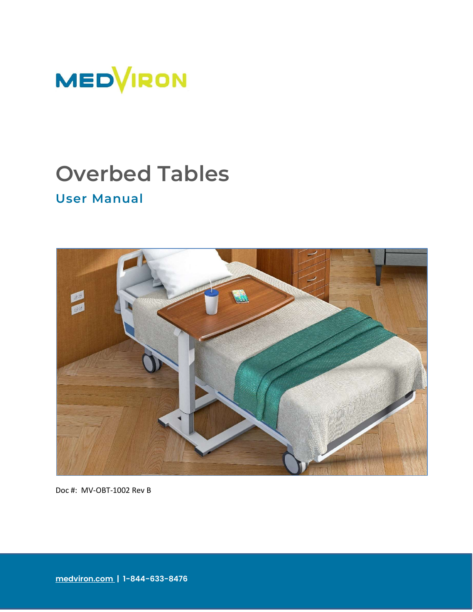

# Overbed Tables

## User Manual



Doc #: MV-OBT-1002 Rev B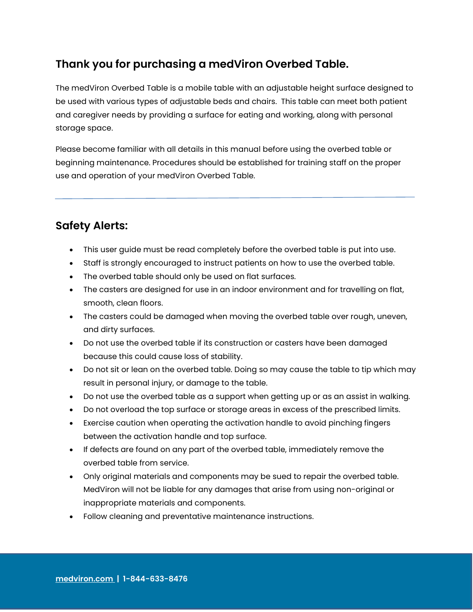#### Thank you for purchasing a medViron Overbed Table.

The medViron Overbed Table is a mobile table with an adjustable height surface designed to be used with various types of adjustable beds and chairs. This table can meet both patient and caregiver needs by providing a surface for eating and working, along with personal storage space.

Please become familiar with all details in this manual before using the overbed table or beginning maintenance. Procedures should be established for training staff on the proper use and operation of your medViron Overbed Table.

#### Safety Alerts:

- This user guide must be read completely before the overbed table is put into use.
- Staff is strongly encouraged to instruct patients on how to use the overbed table.
- The overbed table should only be used on flat surfaces.
- The casters are designed for use in an indoor environment and for travelling on flat, smooth, clean floors.
- The casters could be damaged when moving the overbed table over rough, uneven, and dirty surfaces.
- Do not use the overbed table if its construction or casters have been damaged because this could cause loss of stability.
- Do not sit or lean on the overbed table. Doing so may cause the table to tip which may result in personal injury, or damage to the table.
- Do not use the overbed table as a support when getting up or as an assist in walking.
- Do not overload the top surface or storage areas in excess of the prescribed limits.
- Exercise caution when operating the activation handle to avoid pinching fingers between the activation handle and top surface.
- If defects are found on any part of the overbed table, immediately remove the overbed table from service.
- Only original materials and components may be sued to repair the overbed table. MedViron will not be liable for any damages that arise from using non-original or inappropriate materials and components.
- Follow cleaning and preventative maintenance instructions.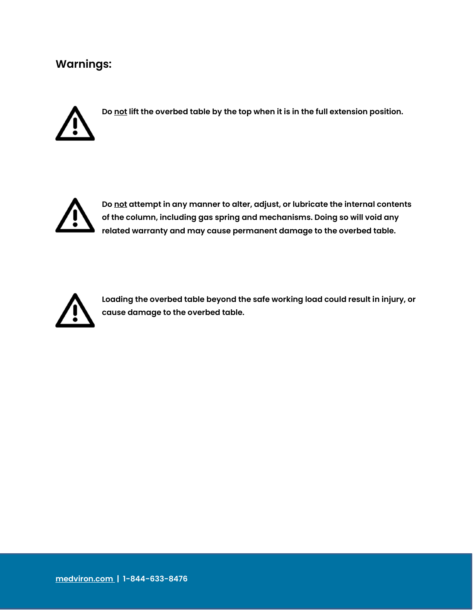#### Warnings:



Do not lift the overbed table by the top when it is in the full extension position.



Do not attempt in any manner to alter, adjust, or lubricate the internal contents of the column, including gas spring and mechanisms. Doing so will void any related warranty and may cause permanent damage to the overbed table.



Loading the overbed table beyond the safe working load could result in injury, or cause damage to the overbed table.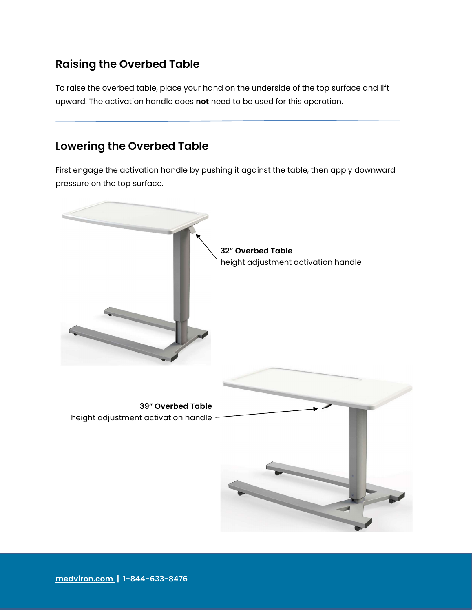#### Raising the Overbed Table

To raise the overbed table, place your hand on the underside of the top surface and lift upward. The activation handle does not need to be used for this operation.

### Lowering the Overbed Table

First engage the activation handle by pushing it against the table, then apply downward pressure on the top surface.

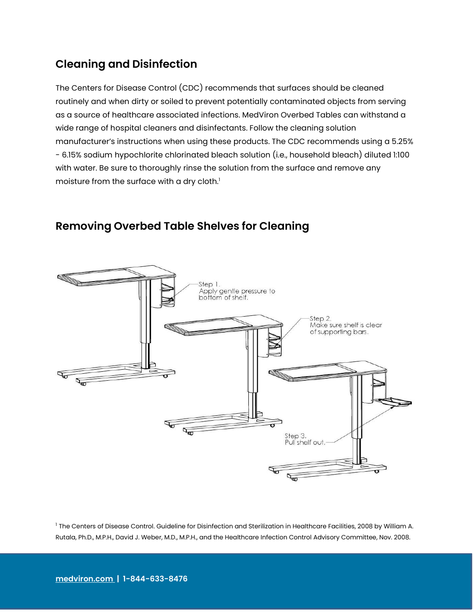#### Cleaning and Disinfection

The Centers for Disease Control (CDC) recommends that surfaces should be cleaned routinely and when dirty or soiled to prevent potentially contaminated objects from serving as a source of healthcare associated infections. MedViron Overbed Tables can withstand a wide range of hospital cleaners and disinfectants. Follow the cleaning solution manufacturer's instructions when using these products. The CDC recommends using a 5.25% - 6.15% sodium hypochlorite chlorinated bleach solution (i.e., household bleach) diluted 1:100 with water. Be sure to thoroughly rinse the solution from the surface and remove any moisture from the surface with a dry cloth.<sup>1</sup>



#### Removing Overbed Table Shelves for Cleaning

<sup>1</sup> The Centers of Disease Control. Guideline for Disinfection and Sterilization in Healthcare Facilities, 2008 by William A. Rutala, Ph.D., M.P.H., David J. Weber, M.D., M.P.H., and the Healthcare Infection Control Advisory Committee, Nov. 2008.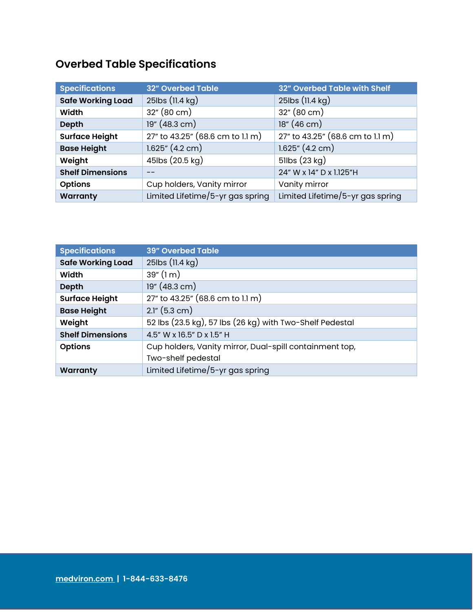## Overbed Table Specifications

| <b>Specifications</b>    | <b>32" Overbed Table</b>         | 32" Overbed Table with Shelf     |
|--------------------------|----------------------------------|----------------------------------|
| <b>Safe Working Load</b> | 25lbs (11.4 kg)                  | 25lbs (11.4 kg)                  |
| Width                    | $32''$ (80 cm)                   | $32''$ (80 cm)                   |
| <b>Depth</b>             | 19" (48.3 cm)                    | 18'' (46 cm)                     |
| <b>Surface Height</b>    | 27" to 43.25" (68.6 cm to 1.1 m) | 27" to 43.25" (68.6 cm to 1.1 m) |
| <b>Base Height</b>       | $1.625''$ (4.2 cm)               | $1.625''$ (4.2 cm)               |
| Weight                   | 45lbs (20.5 kg)                  | 51lbs (23 kg)                    |
| <b>Shelf Dimensions</b>  |                                  | 24" W x 14" D x 1.125"H          |
| <b>Options</b>           | Cup holders, Vanity mirror       | Vanity mirror                    |
| Warranty                 | Limited Lifetime/5-yr gas spring | Limited Lifetime/5-yr gas spring |

| <b>Specifications</b>    | <b>39" Overbed Table</b>                                 |
|--------------------------|----------------------------------------------------------|
| <b>Safe Working Load</b> | 25lbs (11.4 kg)                                          |
| Width                    | $39''$ (1 m)                                             |
| <b>Depth</b>             | 19" (48.3 cm)                                            |
| <b>Surface Height</b>    | 27" to 43.25" (68.6 cm to 1.1 m)                         |
| <b>Base Height</b>       | $2.1''$ (5.3 cm)                                         |
| Weight                   | 52 lbs (23.5 kg), 57 lbs (26 kg) with Two-Shelf Pedestal |
| <b>Shelf Dimensions</b>  | $4.5''$ W x 16.5" D x 1.5" H                             |
| <b>Options</b>           | Cup holders, Vanity mirror, Dual-spill containment top,  |
|                          | Two-shelf pedestal                                       |
| <b>Warranty</b>          | Limited Lifetime/5-yr gas spring                         |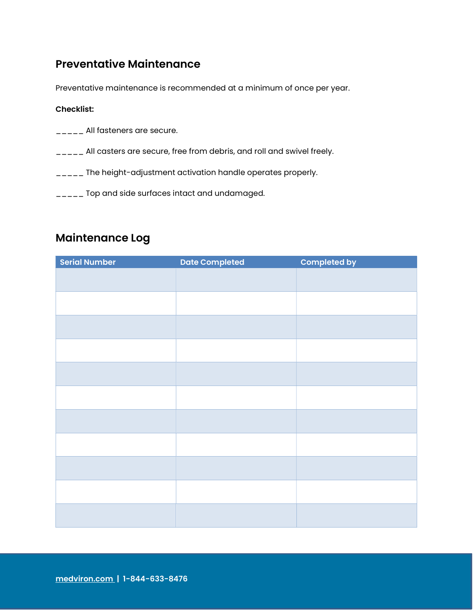#### Preventative Maintenance

Preventative maintenance is recommended at a minimum of once per year.

#### Checklist:

- \_\_\_\_\_ All fasteners are secure.
- $---$  All casters are secure, free from debris, and roll and swivel freely.
- \_\_\_\_\_ The height-adjustment activation handle operates properly.
- $\frac{1}{2}$   $\frac{1}{2}$  Top and side surfaces intact and undamaged.

### Maintenance Log

| <b>Serial Number</b> | <b>Date Completed</b> | <b>Completed by</b> |
|----------------------|-----------------------|---------------------|
|                      |                       |                     |
|                      |                       |                     |
|                      |                       |                     |
|                      |                       |                     |
|                      |                       |                     |
|                      |                       |                     |
|                      |                       |                     |
|                      |                       |                     |
|                      |                       |                     |
|                      |                       |                     |
|                      |                       |                     |